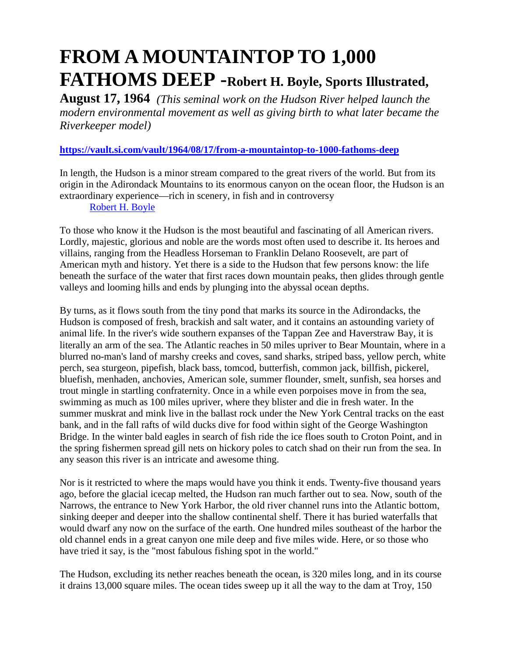# **FROM A MOUNTAINTOP TO 1,000 FATHOMS DEEP -Robert H. Boyle, Sports Illustrated,**

**August 17, 1964** *(This seminal work on the Hudson River helped launch the modern environmental movement as well as giving birth to what later became the Riverkeeper model)*

### **<https://vault.si.com/vault/1964/08/17/from-a-mountaintop-to-1000-fathoms-deep>**

In length, the Hudson is a minor stream compared to the great rivers of the world. But from its origin in the Adirondack Mountains to its enormous canyon on the ocean floor, the Hudson is an extraordinary experience—rich in scenery, in fish and in controversy

[Robert H. Boyle](https://vault.si.com/author/robert-h-boyle) 

To those who know it the Hudson is the most beautiful and fascinating of all American rivers. Lordly, majestic, glorious and noble are the words most often used to describe it. Its heroes and villains, ranging from the Headless Horseman to Franklin Delano Roosevelt, are part of American myth and history. Yet there is a side to the Hudson that few persons know: the life beneath the surface of the water that first races down mountain peaks, then glides through gentle valleys and looming hills and ends by plunging into the abyssal ocean depths.

By turns, as it flows south from the tiny pond that marks its source in the Adirondacks, the Hudson is composed of fresh, brackish and salt water, and it contains an astounding variety of animal life. In the river's wide southern expanses of the Tappan Zee and Haverstraw Bay, it is literally an arm of the sea. The Atlantic reaches in 50 miles upriver to Bear Mountain, where in a blurred no-man's land of marshy creeks and coves, sand sharks, striped bass, yellow perch, white perch, sea sturgeon, pipefish, black bass, tomcod, butterfish, common jack, billfish, pickerel, bluefish, menhaden, anchovies, American sole, summer flounder, smelt, sunfish, sea horses and trout mingle in startling confraternity. Once in a while even porpoises move in from the sea, swimming as much as 100 miles upriver, where they blister and die in fresh water. In the summer muskrat and mink live in the ballast rock under the New York Central tracks on the east bank, and in the fall rafts of wild ducks dive for food within sight of the George Washington Bridge. In the winter bald eagles in search of fish ride the ice floes south to Croton Point, and in the spring fishermen spread gill nets on hickory poles to catch shad on their run from the sea. In any season this river is an intricate and awesome thing.

Nor is it restricted to where the maps would have you think it ends. Twenty-five thousand years ago, before the glacial icecap melted, the Hudson ran much farther out to sea. Now, south of the Narrows, the entrance to New York Harbor, the old river channel runs into the Atlantic bottom, sinking deeper and deeper into the shallow continental shelf. There it has buried waterfalls that would dwarf any now on the surface of the earth. One hundred miles southeast of the harbor the old channel ends in a great canyon one mile deep and five miles wide. Here, or so those who have tried it say, is the "most fabulous fishing spot in the world."

The Hudson, excluding its nether reaches beneath the ocean, is 320 miles long, and in its course it drains 13,000 square miles. The ocean tides sweep up it all the way to the dam at Troy, 150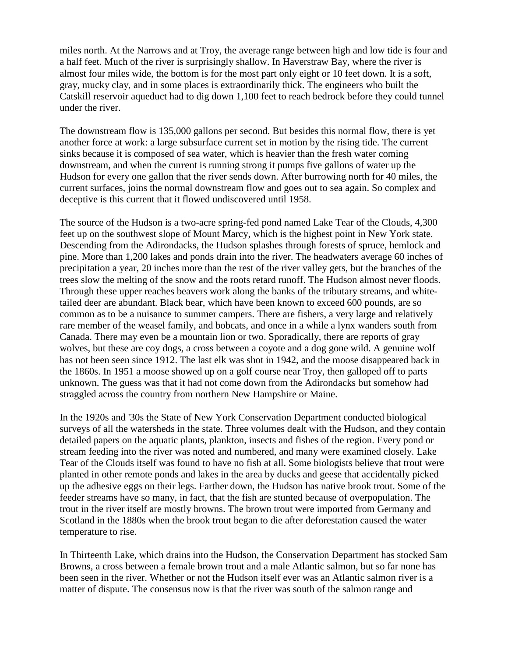miles north. At the Narrows and at Troy, the average range between high and low tide is four and a half feet. Much of the river is surprisingly shallow. In Haverstraw Bay, where the river is almost four miles wide, the bottom is for the most part only eight or 10 feet down. It is a soft, gray, mucky clay, and in some places is extraordinarily thick. The engineers who built the Catskill reservoir aqueduct had to dig down 1,100 feet to reach bedrock before they could tunnel under the river.

The downstream flow is 135,000 gallons per second. But besides this normal flow, there is yet another force at work: a large subsurface current set in motion by the rising tide. The current sinks because it is composed of sea water, which is heavier than the fresh water coming downstream, and when the current is running strong it pumps five gallons of water up the Hudson for every one gallon that the river sends down. After burrowing north for 40 miles, the current surfaces, joins the normal downstream flow and goes out to sea again. So complex and deceptive is this current that it flowed undiscovered until 1958.

The source of the Hudson is a two-acre spring-fed pond named Lake Tear of the Clouds, 4,300 feet up on the southwest slope of Mount Marcy, which is the highest point in New York state. Descending from the Adirondacks, the Hudson splashes through forests of spruce, hemlock and pine. More than 1,200 lakes and ponds drain into the river. The headwaters average 60 inches of precipitation a year, 20 inches more than the rest of the river valley gets, but the branches of the trees slow the melting of the snow and the roots retard runoff. The Hudson almost never floods. Through these upper reaches beavers work along the banks of the tributary streams, and whitetailed deer are abundant. Black bear, which have been known to exceed 600 pounds, are so common as to be a nuisance to summer campers. There are fishers, a very large and relatively rare member of the weasel family, and bobcats, and once in a while a lynx wanders south from Canada. There may even be a mountain lion or two. Sporadically, there are reports of gray wolves, but these are coy dogs, a cross between a coyote and a dog gone wild. A genuine wolf has not been seen since 1912. The last elk was shot in 1942, and the moose disappeared back in the 1860s. In 1951 a moose showed up on a golf course near Troy, then galloped off to parts unknown. The guess was that it had not come down from the Adirondacks but somehow had straggled across the country from northern New Hampshire or Maine.

In the 1920s and '30s the State of New York Conservation Department conducted biological surveys of all the watersheds in the state. Three volumes dealt with the Hudson, and they contain detailed papers on the aquatic plants, plankton, insects and fishes of the region. Every pond or stream feeding into the river was noted and numbered, and many were examined closely. Lake Tear of the Clouds itself was found to have no fish at all. Some biologists believe that trout were planted in other remote ponds and lakes in the area by ducks and geese that accidentally picked up the adhesive eggs on their legs. Farther down, the Hudson has native brook trout. Some of the feeder streams have so many, in fact, that the fish are stunted because of overpopulation. The trout in the river itself are mostly browns. The brown trout were imported from Germany and Scotland in the 1880s when the brook trout began to die after deforestation caused the water temperature to rise.

In Thirteenth Lake, which drains into the Hudson, the Conservation Department has stocked Sam Browns, a cross between a female brown trout and a male Atlantic salmon, but so far none has been seen in the river. Whether or not the Hudson itself ever was an Atlantic salmon river is a matter of dispute. The consensus now is that the river was south of the salmon range and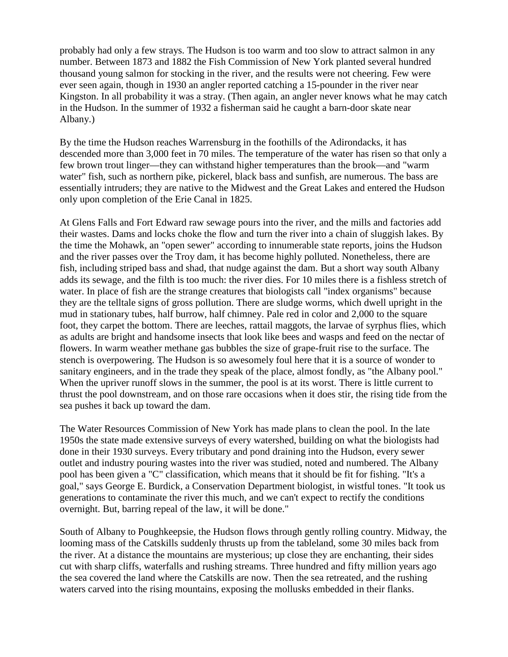probably had only a few strays. The Hudson is too warm and too slow to attract salmon in any number. Between 1873 and 1882 the Fish Commission of New York planted several hundred thousand young salmon for stocking in the river, and the results were not cheering. Few were ever seen again, though in 1930 an angler reported catching a 15-pounder in the river near Kingston. In all probability it was a stray. (Then again, an angler never knows what he may catch in the Hudson. In the summer of 1932 a fisherman said he caught a barn-door skate near Albany.)

By the time the Hudson reaches Warrensburg in the foothills of the Adirondacks, it has descended more than 3,000 feet in 70 miles. The temperature of the water has risen so that only a few brown trout linger—they can withstand higher temperatures than the brook—and "warm water" fish, such as northern pike, pickerel, black bass and sunfish, are numerous. The bass are essentially intruders; they are native to the Midwest and the Great Lakes and entered the Hudson only upon completion of the Erie Canal in 1825.

At Glens Falls and Fort Edward raw sewage pours into the river, and the mills and factories add their wastes. Dams and locks choke the flow and turn the river into a chain of sluggish lakes. By the time the Mohawk, an "open sewer" according to innumerable state reports, joins the Hudson and the river passes over the Troy dam, it has become highly polluted. Nonetheless, there are fish, including striped bass and shad, that nudge against the dam. But a short way south Albany adds its sewage, and the filth is too much: the river dies. For 10 miles there is a fishless stretch of water. In place of fish are the strange creatures that biologists call "index organisms" because they are the telltale signs of gross pollution. There are sludge worms, which dwell upright in the mud in stationary tubes, half burrow, half chimney. Pale red in color and 2,000 to the square foot, they carpet the bottom. There are leeches, rattail maggots, the larvae of syrphus flies, which as adults are bright and handsome insects that look like bees and wasps and feed on the nectar of flowers. In warm weather methane gas bubbles the size of grape-fruit rise to the surface. The stench is overpowering. The Hudson is so awesomely foul here that it is a source of wonder to sanitary engineers, and in the trade they speak of the place, almost fondly, as "the Albany pool." When the upriver runoff slows in the summer, the pool is at its worst. There is little current to thrust the pool downstream, and on those rare occasions when it does stir, the rising tide from the sea pushes it back up toward the dam.

The Water Resources Commission of New York has made plans to clean the pool. In the late 1950s the state made extensive surveys of every watershed, building on what the biologists had done in their 1930 surveys. Every tributary and pond draining into the Hudson, every sewer outlet and industry pouring wastes into the river was studied, noted and numbered. The Albany pool has been given a "C" classification, which means that it should be fit for fishing. "It's a goal," says George E. Burdick, a Conservation Department biologist, in wistful tones. "It took us generations to contaminate the river this much, and we can't expect to rectify the conditions overnight. But, barring repeal of the law, it will be done."

South of Albany to Poughkeepsie, the Hudson flows through gently rolling country. Midway, the looming mass of the Catskills suddenly thrusts up from the tableland, some 30 miles back from the river. At a distance the mountains are mysterious; up close they are enchanting, their sides cut with sharp cliffs, waterfalls and rushing streams. Three hundred and fifty million years ago the sea covered the land where the Catskills are now. Then the sea retreated, and the rushing waters carved into the rising mountains, exposing the mollusks embedded in their flanks.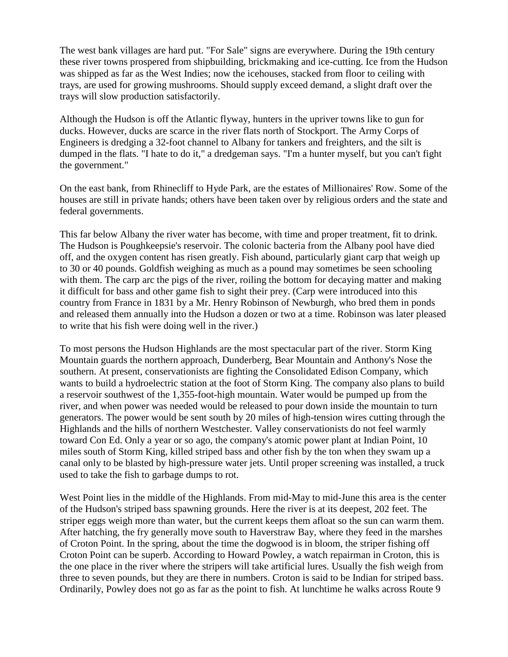The west bank villages are hard put. "For Sale" signs are everywhere. During the 19th century these river towns prospered from shipbuilding, brickmaking and ice-cutting. Ice from the Hudson was shipped as far as the West Indies; now the icehouses, stacked from floor to ceiling with trays, are used for growing mushrooms. Should supply exceed demand, a slight draft over the trays will slow production satisfactorily.

Although the Hudson is off the Atlantic flyway, hunters in the upriver towns like to gun for ducks. However, ducks are scarce in the river flats north of Stockport. The Army Corps of Engineers is dredging a 32-foot channel to Albany for tankers and freighters, and the silt is dumped in the flats. "I hate to do it," a dredgeman says. "I'm a hunter myself, but you can't fight the government."

On the east bank, from Rhinecliff to Hyde Park, are the estates of Millionaires' Row. Some of the houses are still in private hands; others have been taken over by religious orders and the state and federal governments.

This far below Albany the river water has become, with time and proper treatment, fit to drink. The Hudson is Poughkeepsie's reservoir. The colonic bacteria from the Albany pool have died off, and the oxygen content has risen greatly. Fish abound, particularly giant carp that weigh up to 30 or 40 pounds. Goldfish weighing as much as a pound may sometimes be seen schooling with them. The carp arc the pigs of the river, roiling the bottom for decaying matter and making it difficult for bass and other game fish to sight their prey. (Carp were introduced into this country from France in 1831 by a Mr. Henry Robinson of Newburgh, who bred them in ponds and released them annually into the Hudson a dozen or two at a time. Robinson was later pleased to write that his fish were doing well in the river.)

To most persons the Hudson Highlands are the most spectacular part of the river. Storm King Mountain guards the northern approach, Dunderberg, Bear Mountain and Anthony's Nose the southern. At present, conservationists are fighting the Consolidated Edison Company, which wants to build a hydroelectric station at the foot of Storm King. The company also plans to build a reservoir southwest of the 1,355-foot-high mountain. Water would be pumped up from the river, and when power was needed would be released to pour down inside the mountain to turn generators. The power would be sent south by 20 miles of high-tension wires cutting through the Highlands and the hills of northern Westchester. Valley conservationists do not feel warmly toward Con Ed. Only a year or so ago, the company's atomic power plant at Indian Point, 10 miles south of Storm King, killed striped bass and other fish by the ton when they swam up a canal only to be blasted by high-pressure water jets. Until proper screening was installed, a truck used to take the fish to garbage dumps to rot.

West Point lies in the middle of the Highlands. From mid-May to mid-June this area is the center of the Hudson's striped bass spawning grounds. Here the river is at its deepest, 202 feet. The striper eggs weigh more than water, but the current keeps them afloat so the sun can warm them. After hatching, the fry generally move south to Haverstraw Bay, where they feed in the marshes of Croton Point. In the spring, about the time the dogwood is in bloom, the striper fishing off Croton Point can be superb. According to Howard Powley, a watch repairman in Croton, this is the one place in the river where the stripers will take artificial lures. Usually the fish weigh from three to seven pounds, but they are there in numbers. Croton is said to be Indian for striped bass. Ordinarily, Powley does not go as far as the point to fish. At lunchtime he walks across Route 9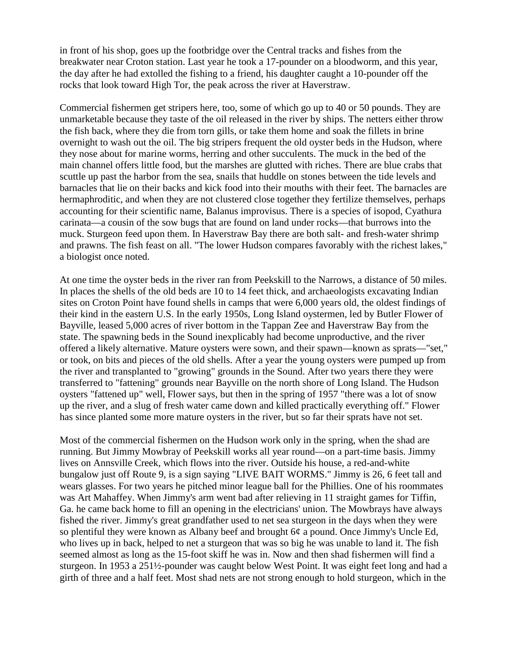in front of his shop, goes up the footbridge over the Central tracks and fishes from the breakwater near Croton station. Last year he took a 17-pounder on a bloodworm, and this year, the day after he had extolled the fishing to a friend, his daughter caught a 10-pounder off the rocks that look toward High Tor, the peak across the river at Haverstraw.

Commercial fishermen get stripers here, too, some of which go up to 40 or 50 pounds. They are unmarketable because they taste of the oil released in the river by ships. The netters either throw the fish back, where they die from torn gills, or take them home and soak the fillets in brine overnight to wash out the oil. The big stripers frequent the old oyster beds in the Hudson, where they nose about for marine worms, herring and other succulents. The muck in the bed of the main channel offers little food, but the marshes are glutted with riches. There are blue crabs that scuttle up past the harbor from the sea, snails that huddle on stones between the tide levels and barnacles that lie on their backs and kick food into their mouths with their feet. The barnacles are hermaphroditic, and when they are not clustered close together they fertilize themselves, perhaps accounting for their scientific name, Balanus improvisus. There is a species of isopod, Cyathura carinata—a cousin of the sow bugs that are found on land under rocks—that burrows into the muck. Sturgeon feed upon them. In Haverstraw Bay there are both salt- and fresh-water shrimp and prawns. The fish feast on all. "The lower Hudson compares favorably with the richest lakes," a biologist once noted.

At one time the oyster beds in the river ran from Peekskill to the Narrows, a distance of 50 miles. In places the shells of the old beds are 10 to 14 feet thick, and archaeologists excavating Indian sites on Croton Point have found shells in camps that were 6,000 years old, the oldest findings of their kind in the eastern U.S. In the early 1950s, Long Island oystermen, led by Butler Flower of Bayville, leased 5,000 acres of river bottom in the Tappan Zee and Haverstraw Bay from the state. The spawning beds in the Sound inexplicably had become unproductive, and the river offered a likely alternative. Mature oysters were sown, and their spawn—known as sprats—"set," or took, on bits and pieces of the old shells. After a year the young oysters were pumped up from the river and transplanted to "growing" grounds in the Sound. After two years there they were transferred to "fattening" grounds near Bayville on the north shore of Long Island. The Hudson oysters "fattened up" well, Flower says, but then in the spring of 1957 "there was a lot of snow up the river, and a slug of fresh water came down and killed practically everything off." Flower has since planted some more mature oysters in the river, but so far their sprats have not set.

Most of the commercial fishermen on the Hudson work only in the spring, when the shad are running. But Jimmy Mowbray of Peekskill works all year round—on a part-time basis. Jimmy lives on Annsville Creek, which flows into the river. Outside his house, a red-and-white bungalow just off Route 9, is a sign saying "LIVE BAIT WORMS." Jimmy is 26, 6 feet tall and wears glasses. For two years he pitched minor league ball for the Phillies. One of his roommates was Art Mahaffey. When Jimmy's arm went bad after relieving in 11 straight games for Tiffin, Ga. he came back home to fill an opening in the electricians' union. The Mowbrays have always fished the river. Jimmy's great grandfather used to net sea sturgeon in the days when they were so plentiful they were known as Albany beef and brought 6¢ a pound. Once Jimmy's Uncle Ed, who lives up in back, helped to net a sturgeon that was so big he was unable to land it. The fish seemed almost as long as the 15-foot skiff he was in. Now and then shad fishermen will find a sturgeon. In 1953 a 251½-pounder was caught below West Point. It was eight feet long and had a girth of three and a half feet. Most shad nets are not strong enough to hold sturgeon, which in the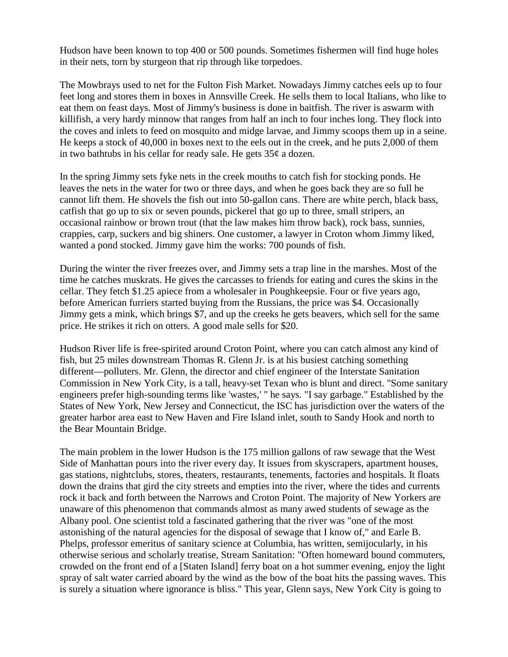Hudson have been known to top 400 or 500 pounds. Sometimes fishermen will find huge holes in their nets, torn by sturgeon that rip through like torpedoes.

The Mowbrays used to net for the Fulton Fish Market. Nowadays Jimmy catches eels up to four feet long and stores them in boxes in Annsville Creek. He sells them to local Italians, who like to eat them on feast days. Most of Jimmy's business is done in baitfish. The river is aswarm with killifish, a very hardy minnow that ranges from half an inch to four inches long. They flock into the coves and inlets to feed on mosquito and midge larvae, and Jimmy scoops them up in a seine. He keeps a stock of 40,000 in boxes next to the eels out in the creek, and he puts 2,000 of them in two bathtubs in his cellar for ready sale. He gets  $35¢$  a dozen.

In the spring Jimmy sets fyke nets in the creek mouths to catch fish for stocking ponds. He leaves the nets in the water for two or three days, and when he goes back they are so full he cannot lift them. He shovels the fish out into 50-gallon cans. There are white perch, black bass, catfish that go up to six or seven pounds, pickerel that go up to three, small stripers, an occasional rainbow or brown trout (that the law makes him throw back), rock bass, sunnies, crappies, carp, suckers and big shiners. One customer, a lawyer in Croton whom Jimmy liked, wanted a pond stocked. Jimmy gave him the works: 700 pounds of fish.

During the winter the river freezes over, and Jimmy sets a trap line in the marshes. Most of the time he catches muskrats. He gives the carcasses to friends for eating and cures the skins in the cellar. They fetch \$1.25 apiece from a wholesaler in Poughkeepsie. Four or five years ago, before American furriers started buying from the Russians, the price was \$4. Occasionally Jimmy gets a mink, which brings \$7, and up the creeks he gets beavers, which sell for the same price. He strikes it rich on otters. A good male sells for \$20.

Hudson River life is free-spirited around Croton Point, where you can catch almost any kind of fish, but 25 miles downstream Thomas R. Glenn Jr. is at his busiest catching something different—polluters. Mr. Glenn, the director and chief engineer of the Interstate Sanitation Commission in New York City, is a tall, heavy-set Texan who is blunt and direct. "Some sanitary engineers prefer high-sounding terms like 'wastes,' " he says. "I say garbage." Established by the States of New York, New Jersey and Connecticut, the ISC has jurisdiction over the waters of the greater harbor area east to New Haven and Fire Island inlet, south to Sandy Hook and north to the Bear Mountain Bridge.

The main problem in the lower Hudson is the 175 million gallons of raw sewage that the West Side of Manhattan pours into the river every day. It issues from skyscrapers, apartment houses, gas stations, nightclubs, stores, theaters, restaurants, tenements, factories and hospitals. It floats down the drains that gird the city streets and empties into the river, where the tides and currents rock it back and forth between the Narrows and Croton Point. The majority of New Yorkers are unaware of this phenomenon that commands almost as many awed students of sewage as the Albany pool. One scientist told a fascinated gathering that the river was "one of the most astonishing of the natural agencies for the disposal of sewage that I know of," and Earle B. Phelps, professor emeritus of sanitary science at Columbia, has written, semijocularly, in his otherwise serious and scholarly treatise, Stream Sanitation: "Often homeward bound commuters, crowded on the front end of a [Staten Island] ferry boat on a hot summer evening, enjoy the light spray of salt water carried aboard by the wind as the bow of the boat hits the passing waves. This is surely a situation where ignorance is bliss." This year, Glenn says, New York City is going to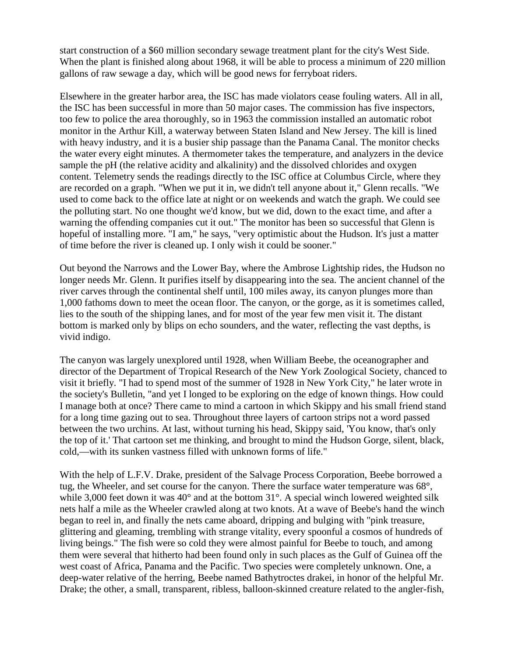start construction of a \$60 million secondary sewage treatment plant for the city's West Side. When the plant is finished along about 1968, it will be able to process a minimum of 220 million gallons of raw sewage a day, which will be good news for ferryboat riders.

Elsewhere in the greater harbor area, the ISC has made violators cease fouling waters. All in all, the ISC has been successful in more than 50 major cases. The commission has five inspectors, too few to police the area thoroughly, so in 1963 the commission installed an automatic robot monitor in the Arthur Kill, a waterway between Staten Island and New Jersey. The kill is lined with heavy industry, and it is a busier ship passage than the Panama Canal. The monitor checks the water every eight minutes. A thermometer takes the temperature, and analyzers in the device sample the pH (the relative acidity and alkalinity) and the dissolved chlorides and oxygen content. Telemetry sends the readings directly to the ISC office at Columbus Circle, where they are recorded on a graph. "When we put it in, we didn't tell anyone about it," Glenn recalls. "We used to come back to the office late at night or on weekends and watch the graph. We could see the polluting start. No one thought we'd know, but we did, down to the exact time, and after a warning the offending companies cut it out." The monitor has been so successful that Glenn is hopeful of installing more. "I am," he says, "very optimistic about the Hudson. It's just a matter of time before the river is cleaned up. I only wish it could be sooner."

Out beyond the Narrows and the Lower Bay, where the Ambrose Lightship rides, the Hudson no longer needs Mr. Glenn. It purifies itself by disappearing into the sea. The ancient channel of the river carves through the continental shelf until, 100 miles away, its canyon plunges more than 1,000 fathoms down to meet the ocean floor. The canyon, or the gorge, as it is sometimes called, lies to the south of the shipping lanes, and for most of the year few men visit it. The distant bottom is marked only by blips on echo sounders, and the water, reflecting the vast depths, is vivid indigo.

The canyon was largely unexplored until 1928, when William Beebe, the oceanographer and director of the Department of Tropical Research of the New York Zoological Society, chanced to visit it briefly. "I had to spend most of the summer of 1928 in New York City," he later wrote in the society's Bulletin, "and yet I longed to be exploring on the edge of known things. How could I manage both at once? There came to mind a cartoon in which Skippy and his small friend stand for a long time gazing out to sea. Throughout three layers of cartoon strips not a word passed between the two urchins. At last, without turning his head, Skippy said, 'You know, that's only the top of it.' That cartoon set me thinking, and brought to mind the Hudson Gorge, silent, black, cold,—with its sunken vastness filled with unknown forms of life."

With the help of L.F.V. Drake, president of the Salvage Process Corporation, Beebe borrowed a tug, the Wheeler, and set course for the canyon. There the surface water temperature was 68°, while 3,000 feet down it was 40° and at the bottom 31°. A special winch lowered weighted silk nets half a mile as the Wheeler crawled along at two knots. At a wave of Beebe's hand the winch began to reel in, and finally the nets came aboard, dripping and bulging with "pink treasure, glittering and gleaming, trembling with strange vitality, every spoonful a cosmos of hundreds of living beings." The fish were so cold they were almost painful for Beebe to touch, and among them were several that hitherto had been found only in such places as the Gulf of Guinea off the west coast of Africa, Panama and the Pacific. Two species were completely unknown. One, a deep-water relative of the herring, Beebe named Bathytroctes drakei, in honor of the helpful Mr. Drake; the other, a small, transparent, ribless, balloon-skinned creature related to the angler-fish,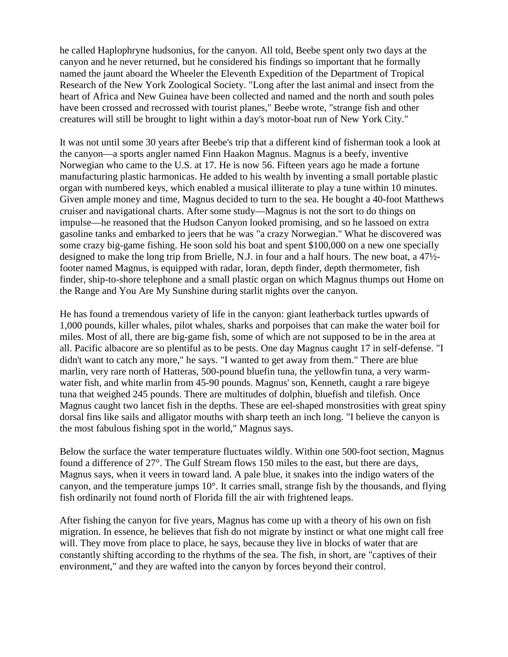he called Haplophryne hudsonius, for the canyon. All told, Beebe spent only two days at the canyon and he never returned, but he considered his findings so important that he formally named the jaunt aboard the Wheeler the Eleventh Expedition of the Department of Tropical Research of the New York Zoological Society. "Long after the last animal and insect from the heart of Africa and New Guinea have been collected and named and the north and south poles have been crossed and recrossed with tourist planes," Beebe wrote, "strange fish and other creatures will still be brought to light within a day's motor-boat run of New York City."

It was not until some 30 years after Beebe's trip that a different kind of fisherman took a look at the canyon—a sports angler named Finn Haakon Magnus. Magnus is a beefy, inventive Norwegian who came to the U.S. at 17. He is now 56. Fifteen years ago he made a fortune manufacturing plastic harmonicas. He added to his wealth by inventing a small portable plastic organ with numbered keys, which enabled a musical illiterate to play a tune within 10 minutes. Given ample money and time, Magnus decided to turn to the sea. He bought a 40-foot Matthews cruiser and navigational charts. After some study—Magnus is not the sort to do things on impulse—he reasoned that the Hudson Canyon looked promising, and so he lassoed on extra gasoline tanks and embarked to jeers that he was "a crazy Norwegian." What he discovered was some crazy big-game fishing. He soon sold his boat and spent \$100,000 on a new one specially designed to make the long trip from Brielle, N.J. in four and a half hours. The new boat, a 47½ footer named Magnus, is equipped with radar, loran, depth finder, depth thermometer, fish finder, ship-to-shore telephone and a small plastic organ on which Magnus thumps out Home on the Range and You Are My Sunshine during starlit nights over the canyon.

He has found a tremendous variety of life in the canyon: giant leatherback turtles upwards of 1,000 pounds, killer whales, pilot whales, sharks and porpoises that can make the water boil for miles. Most of all, there are big-game fish, some of which are not supposed to be in the area at all. Pacific albacore are so plentiful as to be pests. One day Magnus caught 17 in self-defense. "I didn't want to catch any more," he says. "I wanted to get away from them." There are blue marlin, very rare north of Hatteras, 500-pound bluefin tuna, the yellowfin tuna, a very warmwater fish, and white marlin from 45-90 pounds. Magnus' son, Kenneth, caught a rare bigeye tuna that weighed 245 pounds. There are multitudes of dolphin, bluefish and tilefish. Once Magnus caught two lancet fish in the depths. These are eel-shaped monstrosities with great spiny dorsal fins like sails and alligator mouths with sharp teeth an inch long. "I believe the canyon is the most fabulous fishing spot in the world," Magnus says.

Below the surface the water temperature fluctuates wildly. Within one 500-foot section, Magnus found a difference of 27°. The Gulf Stream flows 150 miles to the east, but there are days, Magnus says, when it veers in toward land. A pale blue, it snakes into the indigo waters of the canyon, and the temperature jumps 10°. It carries small, strange fish by the thousands, and flying fish ordinarily not found north of Florida fill the air with frightened leaps.

After fishing the canyon for five years, Magnus has come up with a theory of his own on fish migration. In essence, he believes that fish do not migrate by instinct or what one might call free will. They move from place to place, he says, because they live in blocks of water that are constantly shifting according to the rhythms of the sea. The fish, in short, are "captives of their environment," and they are wafted into the canyon by forces beyond their control.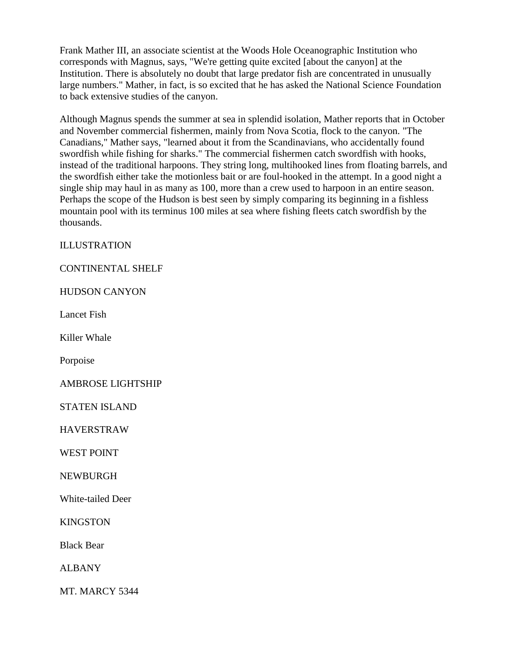Frank Mather III, an associate scientist at the Woods Hole Oceanographic Institution who corresponds with Magnus, says, "We're getting quite excited [about the canyon] at the Institution. There is absolutely no doubt that large predator fish are concentrated in unusually large numbers." Mather, in fact, is so excited that he has asked the National Science Foundation to back extensive studies of the canyon.

Although Magnus spends the summer at sea in splendid isolation, Mather reports that in October and November commercial fishermen, mainly from Nova Scotia, flock to the canyon. "The Canadians," Mather says, "learned about it from the Scandinavians, who accidentally found swordfish while fishing for sharks." The commercial fishermen catch swordfish with hooks, instead of the traditional harpoons. They string long, multihooked lines from floating barrels, and the swordfish either take the motionless bait or are foul-hooked in the attempt. In a good night a single ship may haul in as many as 100, more than a crew used to harpoon in an entire season. Perhaps the scope of the Hudson is best seen by simply comparing its beginning in a fishless mountain pool with its terminus 100 miles at sea where fishing fleets catch swordfish by the thousands.

ILLUSTRATION

## CONTINENTAL SHELF

HUDSON CANYON

Lancet Fish

Killer Whale

Porpoise

AMBROSE LIGHTSHIP

STATEN ISLAND

HAVERSTRAW

WEST POINT

NEWBURGH

White-tailed Deer

KINGSTON

Black Bear

ALBANY

MT. MARCY 5344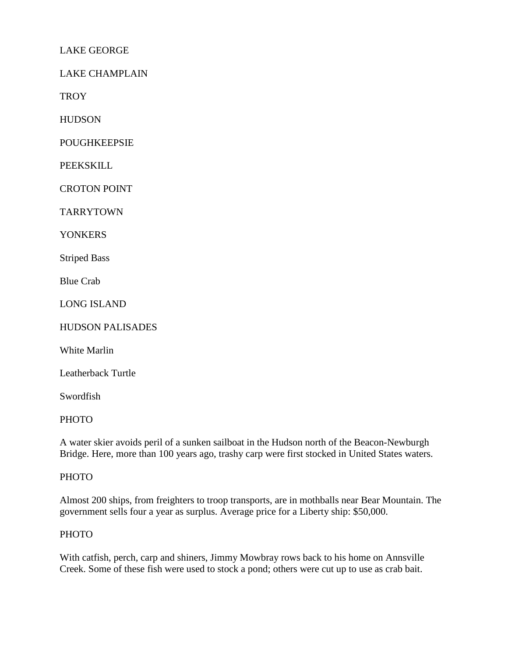# LAKE GEORGE

LAKE CHAMPLAIN

**TROY** 

**HUDSON** 

POUGHKEEPSIE

PEEKSKILL

CROTON POINT

TARRYTOWN

YONKERS

Striped Bass

Blue Crab

LONG ISLAND

HUDSON PALISADES

White Marlin

Leatherback Turtle

Swordfish

PHOTO

A water skier avoids peril of a sunken sailboat in the Hudson north of the Beacon-Newburgh Bridge. Here, more than 100 years ago, trashy carp were first stocked in United States waters.

#### PHOTO

Almost 200 ships, from freighters to troop transports, are in mothballs near Bear Mountain. The government sells four a year as surplus. Average price for a Liberty ship: \$50,000.

#### PHOTO

With catfish, perch, carp and shiners, Jimmy Mowbray rows back to his home on Annsville Creek. Some of these fish were used to stock a pond; others were cut up to use as crab bait.